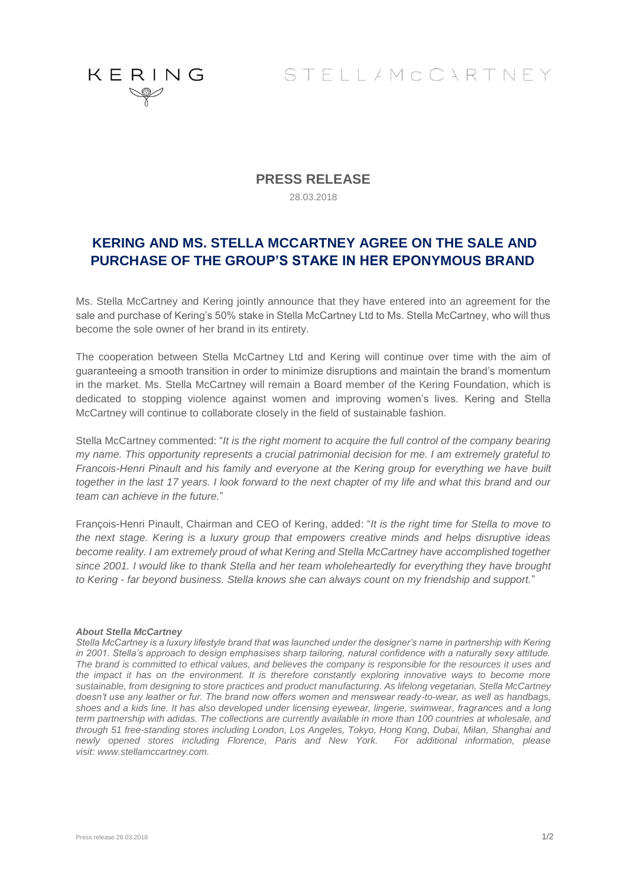

STELLAMCCARTNEY

### **PRESS RELEASE**

28.03.2018

## **KERING AND MS. STELLA MCCARTNEY AGREE ON THE SALE AND PURCHASE OF THE GROUP'S STAKE IN HER EPONYMOUS BRAND**

Ms. Stella McCartney and Kering jointly announce that they have entered into an agreement for the sale and purchase of Kering's 50% stake in Stella McCartney Ltd to Ms. Stella McCartney, who will thus become the sole owner of her brand in its entirety.

The cooperation between Stella McCartney Ltd and Kering will continue over time with the aim of guaranteeing a smooth transition in order to minimize disruptions and maintain the brand's momentum in the market. Ms. Stella McCartney will remain a Board member of the Kering Foundation, which is dedicated to stopping violence against women and improving women's lives. Kering and Stella McCartney will continue to collaborate closely in the field of sustainable fashion.

Stella McCartney commented: "*It is the right moment to acquire the full control of the company bearing my name. This opportunity represents a crucial patrimonial decision for me. I am extremely grateful to Francois-Henri Pinault and his family and everyone at the Kering group for everything we have built together in the last 17 years. I look forward to the next chapter of my life and what this brand and our team can achieve in the future.*"

François-Henri Pinault, Chairman and CEO of Kering, added: "*It is the right time for Stella to move to the next stage. Kering is a luxury group that empowers creative minds and helps disruptive ideas become reality. I am extremely proud of what Kering and Stella McCartney have accomplished together since 2001. I would like to thank Stella and her team wholeheartedly for everything they have brought to Kering - far beyond business. Stella knows she can always count on my friendship and support.*"

#### *About Stella McCartney*

*Stella McCartney is a luxury lifestyle brand that was launched under the designer's name in partnership with Kering in 2001. Stella's approach to design emphasises sharp tailoring, natural confidence with a naturally sexy attitude. The brand is committed to ethical values, and believes the company is responsible for the resources it uses and the impact it has on the environment. It is therefore constantly exploring innovative ways to become more sustainable, from designing to store practices and product manufacturing. As lifelong vegetarian, Stella McCartney doesn't use any leather or fur. The brand now offers women and menswear ready-to-wear, as well as handbags, shoes and a kids line. It has also developed under licensing eyewear, lingerie, swimwear, fragrances and a long term partnership with adidas. The collections are currently available in more than 100 countries at wholesale, and through 51 free-standing stores including London, Los Angeles, Tokyo, Hong Kong, Dubai, Milan, Shanghai and newly opened stores including Florence, Paris and New York. For additional information, please visit: [www.stellamccartney.com.](http://www.stellamccartney.com/)*